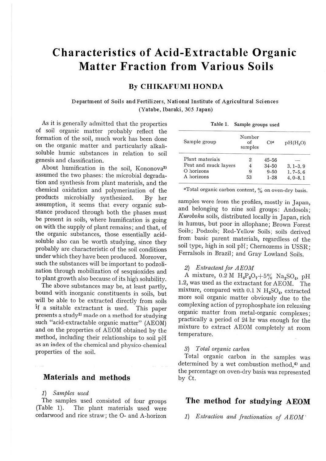# **Characteristics of Acid-Extractable Organic Matter Fraction from Various Soils**

## **By CHIKAFUMI HONDA**

#### Department of Soils and Fertilizers, National Institute of Agricultural Sciences (Yatabe, Ibaraki, 305 Japan)

As it is generally admitted that the properties of soil organic matter probably reflect the formation of the soil, much work has been done on the organic matter and particularly alkalisoluble humic substances in relation to soil genesis and classification.

About humification in the soil, Kononova<sup>3)</sup> assumed the two phases: the microbial degradation and synthesis from plant materials, and the chemical oxidation and polymerization of the products microbially synthesized. By her assumption, it seems that every organic substance produced through both the phases must be present in soils, where humification is going on with the supply of plant remains; and that, of the organic substances, those essentially acidsoluble also can be worth studying, since they probably are characteristic of the soil conditions under which they have been produced. Moreover, such the substances will be important to podzolization through mobilization of sesquioxides and to plant growth also because of its high solubility.

The above substances may be, at least partly, bound with inorganic constituents in soils, but will be able to be extracted directly from soils if a suitable extractant is used. This paper presents a study<sup>2)</sup> made on a method for studying such "acid-extractable organic matter" (AEOM) and on the properties of AEOM obtained by the method, including their relationships to soil pH as an index of the chemical and physico-chemical properties of the soil.

## **Materials and methods**

#### 1) *Samples used*

The samples used consisted of four groups (Table 1). The plant materials used were cedarwood and rice straw; the 0- and A-horizon

| Table 1. | Sample groups used |  |  |
|----------|--------------------|--|--|
|----------|--------------------|--|--|

| Sample group         | Number<br>of<br>samples | $C+a$     | pH(H <sub>0</sub> ) |
|----------------------|-------------------------|-----------|---------------------|
| Plant materials      | 2                       | $45 - 56$ |                     |
| Peat and muck layers |                         | $34 - 50$ | $3.1 - 3.9$         |
| O horizons           | 9                       | $9 - 50$  | $1, 7-5, 6$         |
| A horizons           | 53                      | $1 - 28$  | $4.0 - 8.1$         |

aTotal organic carbon content, % on oven-dry basis.

samples were from the profiles, mostly in Japan, and belonging to nine soil groups: Andosols; *Kuroboku* soils, distributed locally in Japan, rich in humus, but poor in allophane; Brown Forest Soils; Podzols; Red-Yellow Soils; soils derived from basic parent materials, regardless of the soil type, high in soil pH; Chernozems in USSR; Ferralsols in Brazil; and Gray Lowland Soils.

#### *2) Extractant for AEOM*

A mixture,  $0.2 M H_4P_2O_7 + 5\% Na_2SO_4$ , pH 1.2, was used as the extractant for AEOM. The mixture, compared with 0.1 N H<sub>2</sub>SO<sub>4</sub>, extracted more soil organic matter obviously due to the complexing action of pyrophosphate ion releasing organic matter from metal-organic complexes; practically a period of 24 hr was enough for the mixture to extract AEOM completely at room temperature.

#### *3) Total organic carbon*

Total organic carbon in the samples was determined by a wet combustion method,<sup>4)</sup> and the percentage on oven-dry basis was represented by Ct.

## **The method for studying AEOM**

1) Extraction and fractionation of AEOM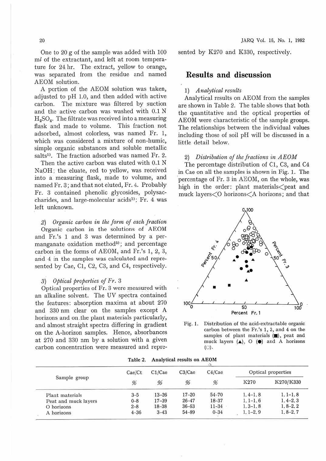One to 20 g of the sample was added with 100 ml of the extractant, and left at room temperature for 24 hr. The extract, yellow to orange, was separated from the residue and named AEOM solution.

A portion of the AEOM solution was taken, adjusted to pH 1.0, and then added with active carbon. The mixture was filtered by suction and the active carbon was washed with 0.1 N H<sub>2</sub>SO<sub>4</sub>. The filtrate was received into a measuring flask and made to volume. This fraction not adsorbed, almost colorless, was named Fr. 1, which was considered a mixture of non-humic, simple organic substances and soluble metallic salts<sup>1)</sup>. The fraction adsorbed was named Fr. 2.

Then the active carbon was eluted with 0.1 N NaOH; the eluate, red to yellow, was received into a measuring flask, made to volume, and named Fr. 3; and that not eluted, Fr. 4. Probably Fr. 3 contained phenolic glycosides, polysaccharides, and large-molecular acids<sup>1)</sup>; Fr. 4 was left unknown.

*2) Organic carbon in the form of each fraction*  Organic carbon in the solutions of AEOM and Fr.'s 1 and 3 was determined by a permanganate oxidation method<sup>5)</sup>; and percentage carbon in the forms of AEOM, and Fr.'s 1, 2, 3, and 4 in the samples was calculated and represented by Cae, Cl, C2, C3, and C4, respectively.

#### *3) Optical properties of Fr.* 3

Optical properties of Fr. 3 were measured with an alkaline solvent. The UV spectra contained the features: absorption maxima at about 270 and 330 nm clear on the samples except A horizons and on .the plant materials particularly, and almost straight spectra differing in gradient on the A-horizon samples. Hence, absorbances at 270 and 330 nm by a solution with a given carbon concentration were measured and represented by K270 and K330, respectively.

### **Results and discussion**

#### 1) *Analytical results*

Analytical results on AEOM from the samples are shown in Table 2. The table shows that both the quantitative and the optical properties of AEOM were characteristic of the sample groups. The relationships between the individual values including those of soil pH will be discussed in a little detail below.

#### 2) *Distribution of the fractions in AEOM*

The percentage distribution of Cl, C3, and C4 in Cae on all the samples is shown in Fig. 1. The percentage of Fr. 3 in AEOM, on the whole, was high in the order: plant materials <peat and muck layers<O horizons<A horizons; and that



Fig. 1. Distribution of the acid-extractable organic carbon between the Fr.'s 1, 3, and 4 on the samples of plant materials  $($ , peat and muck layers  $(A)$ ,  $\odot$   $(\bullet)$  and A horizons (O).

| Sample group         | Cae/Ct   | C1/Cae    | C3/Cae    | C4/Cae    | Optical properties |             |  |
|----------------------|----------|-----------|-----------|-----------|--------------------|-------------|--|
|                      | 96       | %         | %         | %         | K270               | K270/K330   |  |
| Plant materials      | $3 - 5$  | $13 - 26$ | $17 - 20$ | $54 - 70$ | $1, 4-1, 8$        | $1, 1-1, 8$ |  |
| Peat and muck layers | $0 - 8$  | $17 - 39$ | $26 - 47$ | $18 - 37$ | $1.1 - 1.6$        | $1, 4-2, 3$ |  |
| O horizons           | $2 - 8$  | $18 - 38$ | $36 - 63$ | $11 - 34$ | $1, 3-1, 8$        | $1, 8-2, 2$ |  |
| A horizons           | $4 - 36$ | $3 - 43$  | 54-89     | $0 - 34$  | $1.1 - 2.9$        | $1, 8-2, 7$ |  |

Table 2. Analytical results on AEOM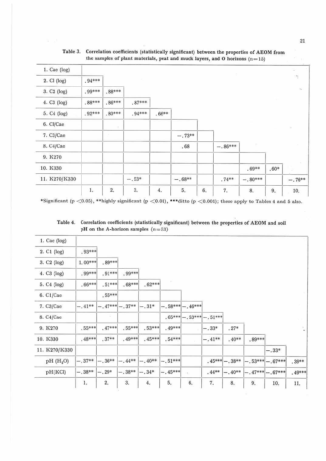| $1.$ Cae (log)          |          |                  |          |         |          |    |           |           |        |                              |
|-------------------------|----------|------------------|----------|---------|----------|----|-----------|-----------|--------|------------------------------|
| 2. Cl (log)             | $.94***$ |                  |          |         |          |    |           |           |        | $\tau_{\rm c}$               |
| 3. C <sub>2</sub> (log) | .99***   | $.88***$         |          |         |          |    |           |           |        | $\mathcal{N}_{\mathbf{0}}$ . |
| 4. C3 (log)             | $.88***$ | $.86***$         | $.87***$ |         |          |    |           |           |        |                              |
| 5. C4 (log)             | $.92***$ | $.80***$         | $.94***$ | $.66**$ |          |    |           |           |        |                              |
| 6. Cl/Cae               |          | $\sigma_{\rm c}$ |          |         |          |    |           |           |        | $\mathcal{C}\mathcal{S}$     |
| 7. C3/Cae               |          | U.               |          |         | $-.73**$ |    |           |           |        |                              |
| 8. C4/Cae               |          |                  |          |         | .68      |    | $-.86***$ | U         |        |                              |
| 9. K270                 |          |                  |          |         |          |    |           |           |        |                              |
| 10. K330                |          |                  |          |         |          |    |           | $.69**$   | $.60*$ |                              |
| 11. K270/K330           |          |                  | $-.53*$  |         | $-.68**$ |    | $.74**$   | $-.80***$ |        | $-.76**$                     |
|                         | $1.$     | $\overline{2}$   | 3.       | 4.      | 5.       | 6. | 7.        | 8.        | 9.     | 10.                          |

Table 3. Correlation coefficients (statistically significant) between the properties of AEOM from the samples of plant materials, peat and muck layers, and O horizons  $(n=15)$ 

\*Significant (p < 0.05), \*\*highly significant (p < 0.01), \*\*\*ditto (p < 0.001); these apply to Tables 4 and 5 also.

Table 4. Correlation coefficients (statistically significant) between the properties of AEOM and soil pH on the A-horizon samples  $(n=53)$ 

| 1. Cae $(log)$          |           |                 |          |          |           |                     |                  |                  |          |                    |         |
|-------------------------|-----------|-----------------|----------|----------|-----------|---------------------|------------------|------------------|----------|--------------------|---------|
| 2. C1 (log)             | $.93***$  |                 |          |          |           |                     |                  |                  |          |                    |         |
| 3. C <sub>2</sub> (log) | $1.00***$ | .89***          |          |          |           |                     |                  |                  |          |                    |         |
| 4. C3 (log)             | $.99***$  | $.91***$        | $.99***$ |          |           |                     |                  |                  |          |                    |         |
| 5. C4 (log)             | $.66***$  | $.51***$        | $.68***$ | $.62***$ | x         |                     |                  |                  |          |                    |         |
| 6. C1/Cae               |           | $.55***$        |          |          |           |                     |                  |                  |          |                    |         |
| 7. C3/Cae               | $-.41**$  | $-.47***-.37**$ |          | $-.31*$  |           | $-0.58*** -0.46***$ |                  |                  |          |                    |         |
| 8. C4/Cae               |           | $\sim$          |          |          | $.65***$  |                     | $-.53***-.51***$ |                  |          |                    |         |
| 9. K270                 | $.55***$  | $.47***$        | .55***   | $.53***$ | $.49***$  |                     | $-.33*$          | $.27*$           |          |                    |         |
| 10. K330                | $.48***$  | $.37**$         | .49***   | $.45***$ | $.54***$  |                     | $-.41**$         | $.40**$          | $.89***$ |                    |         |
| 11. K270/K330           |           |                 |          |          |           |                     |                  |                  |          | $-.33*$            |         |
| pH(H <sub>2</sub> O)    | $-.37**$  | $-.36**$        | $-.44**$ | $-.40**$ | $-.51***$ |                     |                  | $.45*** - .38**$ |          | $-.53***-.67***$   | $.39**$ |
| pH(KCl)                 | $-.38**$  | $-.29*$         | $-.38**$ | $-.34*$  | $-.45***$ | IB)                 | $.44**$          | $-.40**$         |          | $-.47***$ -. 67*** | .49***  |
|                         | 1.        | 2.              | 3.       | 4.       | 5,        | 6.                  | 7.               | 8.               | 9.       | 10.                | 11.     |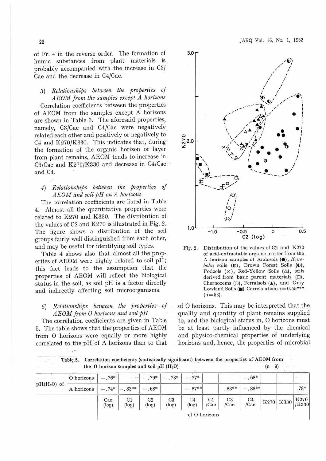JARQ Vol. 16, No. 1, 1982

of Fr. 4 in the reverse order. The formation of humic substances from plant materials is probably accompanied with the increase in C3/ Cae and the decrease in C4/Cae.

3) Relationships between the properties of AEOM from the samples except A horizons Correlation coefficients between the properties of AEOM from the samples except A horizons are shown in Table 3. The aforesaid properties, namely, C3/Cae and C4/Cae were negatively related each other and positively or negatively to C4 and K270/K330. This indicates that, during the formation of the organic horizon or layer from plant remains, AEOM tends to increase in C3/Cae and K270/K330 and decrease in C4/Cae and C4.

4) Relationships between the properties of AEOM and soil pH on A horizons

The correlation coefficients are listed in Table 4. Almost all the quantitative properties were related to K270 and K330. The distribution of the values of C2 and K270 is illustrated in Fig. 2. The figure shows a distribution of the soil groups fairly well distinguished from each other, and may be useful for identifying soil types.

Table 4 shows also that almost all the properties of AEOM were highly related to soil pH; this fact leads to the assumption that the properties of AEOM will reflect the biological status in the soil, as soil pH is a factor directly and indirectly affecting soil microorganisms.

#### Relationships between the properties of 5) AEOM from O horizons and soil pH

The correlation coefficients are given in Table 5. The table shows that the properties of AEOM from O horizons were equally or more highly correlated to the pH of A horizons than to that



Distribution of the values of C2 and K270  $Fig. 2.$ of acid-extractable organic matter from the A horizon samples of Andosols (O), Kuroboku soils (0), Brown Forest Soils (0), Podzols (x), Red-Yellow Soils ( $\triangle$ ), soils derived from basic parent materials ( $\square$ ), Chernozems (O), Ferralsols (A), and Gray Lowland Soils ( $\blacksquare$ ). Correlalation:  $r = 0.55***$  $(n=53)$ .

of O horizons. This may be interpreted that the quality and quantity of plant remains supplied to, and the biological status in, O horizons must be at least partly influenced by the chemical and physico-chemical properties of underlying horizons and, hence, the properties of microbial

Table 5. Correlation coefficients (statistically significant) between the properties of AEOM from the  $O$  horizon samples and soil pH  $(H<sub>2</sub>O)$  $(n=9)$ 

| $pH(H2O)$ of | O horizons | $-.68*$<br>$-.73*$<br>$-.79*$<br>$-.77*$<br>$-.76*$ |                |                         |                         |                         |                        |                                 |                        |           |               |
|--------------|------------|-----------------------------------------------------|----------------|-------------------------|-------------------------|-------------------------|------------------------|---------------------------------|------------------------|-----------|---------------|
|              | A horizons |                                                     | $-.74*$ -.83** | $-.68*$                 |                         | $-.87**$                |                        | $.83**$                         | $-.88**$               |           | $.78*$        |
|              |            | Cae<br>(log)                                        | C1<br>(log)    | C <sub>2</sub><br>(log) | C <sub>3</sub><br>(log) | C <sub>4</sub><br>(log) | C <sub>1</sub><br>/Cae | C <sub>3</sub><br>$ {\rm Cae} $ | C <sub>4</sub><br>/Cae | K270 K330 | K270<br>/K330 |
|              |            |                                                     |                |                         |                         |                         | of O horizons          |                                 |                        |           |               |